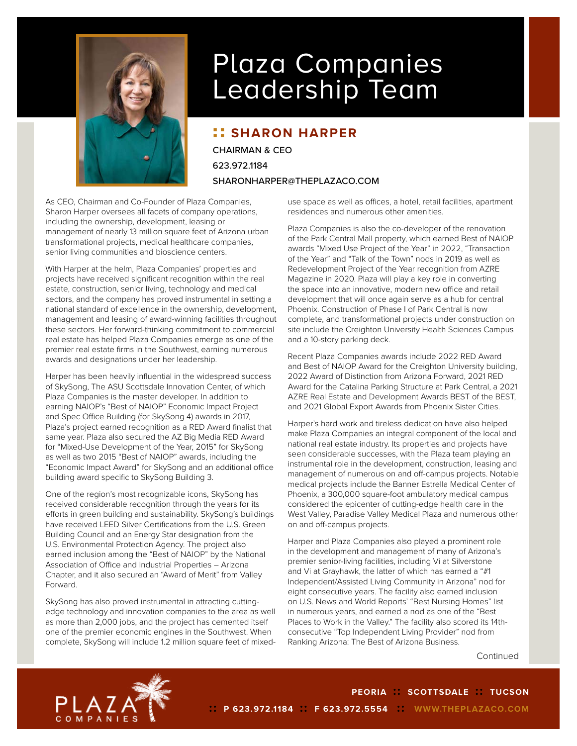

## Plaza Companies Leadership Team

## **:: SHARON HARPER**

CHAIRMAN & CEO 623.972.1184 SHARONHARPER@THEPLAZACO.COM

As CEO, Chairman and Co-Founder of Plaza Companies, Sharon Harper oversees all facets of company operations, including the ownership, development, leasing or management of nearly 13 million square feet of Arizona urban transformational projects, medical healthcare companies, senior living communities and bioscience centers.

With Harper at the helm, Plaza Companies' properties and projects have received significant recognition within the real estate, construction, senior living, technology and medical sectors, and the company has proved instrumental in setting a national standard of excellence in the ownership, development, management and leasing of award-winning facilities throughout these sectors. Her forward-thinking commitment to commercial real estate has helped Plaza Companies emerge as one of the premier real estate firms in the Southwest, earning numerous awards and designations under her leadership.

Harper has been heavily influential in the widespread success of SkySong, The ASU Scottsdale Innovation Center, of which Plaza Companies is the master developer. In addition to earning NAIOP's "Best of NAIOP" Economic Impact Project and Spec Office Building (for SkySong 4) awards in 2017, Plaza's project earned recognition as a RED Award finalist that same year. Plaza also secured the AZ Big Media RED Award for "Mixed-Use Development of the Year, 2015" for SkySong as well as two 2015 "Best of NAIOP" awards, including the "Economic Impact Award" for SkySong and an additional office building award specific to SkySong Building 3.

One of the region's most recognizable icons, SkySong has received considerable recognition through the years for its efforts in green building and sustainability. SkySong's buildings have received LEED Silver Certifications from the U.S. Green Building Council and an Energy Star designation from the U.S. Environmental Protection Agency. The project also earned inclusion among the "Best of NAIOP" by the National Association of Office and Industrial Properties – Arizona Chapter, and it also secured an "Award of Merit" from Valley Forward.

SkySong has also proved instrumental in attracting cuttingedge technology and innovation companies to the area as well as more than 2,000 jobs, and the project has cemented itself one of the premier economic engines in the Southwest. When complete, SkySong will include 1.2 million square feet of mixed-

use space as well as offices, a hotel, retail facilities, apartment residences and numerous other amenities.

Plaza Companies is also the co-developer of the renovation of the Park Central Mall property, which earned Best of NAIOP awards "Mixed Use Project of the Year" in 2022, "Transaction of the Year" and "Talk of the Town" nods in 2019 as well as Redevelopment Project of the Year recognition from AZRE Magazine in 2020. Plaza will play a key role in converting the space into an innovative, modern new office and retail development that will once again serve as a hub for central Phoenix. Construction of Phase I of Park Central is now complete, and transformational projects under construction on site include the Creighton University Health Sciences Campus and a 10-story parking deck.

Recent Plaza Companies awards include 2022 RED Award and Best of NAIOP Award for the Creighton University building, 2022 Award of Distinction from Arizona Forward, 2021 RED Award for the Catalina Parking Structure at Park Central, a 2021 AZRE Real Estate and Development Awards BEST of the BEST, and 2021 Global Export Awards from Phoenix Sister Cities.

Harper's hard work and tireless dedication have also helped make Plaza Companies an integral component of the local and national real estate industry. Its properties and projects have seen considerable successes, with the Plaza team playing an instrumental role in the development, construction, leasing and management of numerous on and off-campus projects. Notable medical projects include the Banner Estrella Medical Center of Phoenix, a 300,000 square-foot ambulatory medical campus considered the epicenter of cutting-edge health care in the West Valley, Paradise Valley Medical Plaza and numerous other on and off-campus projects.

Harper and Plaza Companies also played a prominent role in the development and management of many of Arizona's premier senior-living facilities, including Vi at Silverstone and Vi at Grayhawk, the latter of which has earned a "#1 Independent/Assisted Living Community in Arizona" nod for eight consecutive years. The facility also earned inclusion on U.S. News and World Reports' "Best Nursing Homes" list in numerous years, and earned a nod as one of the "Best Places to Work in the Valley." The facility also scored its 14thconsecutive "Top Independent Living Provider" nod from Ranking Arizona: The Best of Arizona Business.

Continued